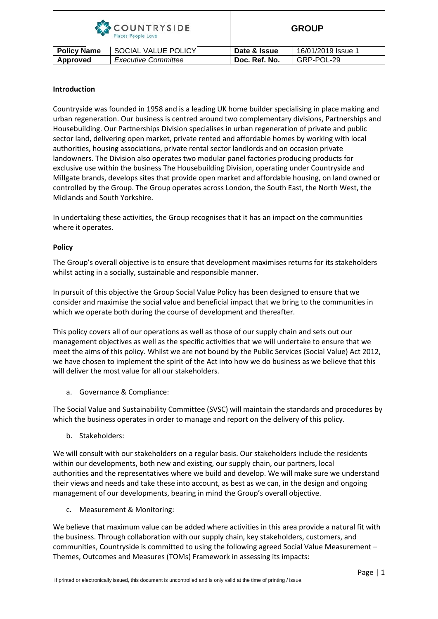| <b>COUNTRYSIDE</b><br>Places People Love |                            |               | <b>GROUP</b>       |  |
|------------------------------------------|----------------------------|---------------|--------------------|--|
| <b>Policy Name</b>                       | SOCIAL VALUE POLICY        | Date & Issue  | 16/01/2019 Issue 1 |  |
| Approved                                 | <b>Executive Committee</b> | Doc. Ref. No. | GRP-POL-29         |  |

# **Introduction**

Countryside was founded in 1958 and is a leading UK home builder specialising in place making and urban regeneration. Our business is centred around two complementary divisions, Partnerships and Housebuilding. Our Partnerships Division specialises in urban regeneration of private and public sector land, delivering open market, private rented and affordable homes by working with local authorities, housing associations, private rental sector landlords and on occasion private landowners. The Division also operates two modular panel factories producing products for exclusive use within the business The Housebuilding Division, operating under Countryside and Millgate brands, develops sites that provide open market and affordable housing, on land owned or controlled by the Group. The Group operates across London, the South East, the North West, the Midlands and South Yorkshire.

In undertaking these activities, the Group recognises that it has an impact on the communities where it operates.

## **Policy**

The Group's overall objective is to ensure that development maximises returns for its stakeholders whilst acting in a socially, sustainable and responsible manner.

In pursuit of this objective the Group Social Value Policy has been designed to ensure that we consider and maximise the social value and beneficial impact that we bring to the communities in which we operate both during the course of development and thereafter.

This policy covers all of our operations as well as those of our supply chain and sets out our management objectives as well as the specific activities that we will undertake to ensure that we meet the aims of this policy. Whilst we are not bound by the Public Services (Social Value) Act 2012, we have chosen to implement the spirit of the Act into how we do business as we believe that this will deliver the most value for all our stakeholders.

a. Governance & Compliance:

The Social Value and Sustainability Committee (SVSC) will maintain the standards and procedures by which the business operates in order to manage and report on the delivery of this policy.

b. Stakeholders:

We will consult with our stakeholders on a regular basis. Our stakeholders include the residents within our developments, both new and existing, our supply chain, our partners, local authorities and the representatives where we build and develop. We will make sure we understand their views and needs and take these into account, as best as we can, in the design and ongoing management of our developments, bearing in mind the Group's overall objective.

c. Measurement & Monitoring:

We believe that maximum value can be added where activities in this area provide a natural fit with the business. Through collaboration with our supply chain, key stakeholders, customers, and communities, Countryside is committed to using the following agreed Social Value Measurement – Themes, Outcomes and Measures (TOMs) Framework in assessing its impacts: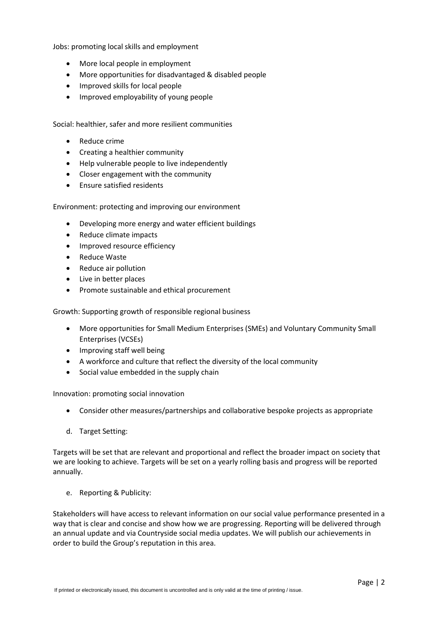Jobs: promoting local skills and employment

- More local people in employment
- More opportunities for disadvantaged & disabled people
- Improved skills for local people
- Improved employability of young people

Social: healthier, safer and more resilient communities

- Reduce crime
- Creating a healthier community
- Help vulnerable people to live independently
- Closer engagement with the community
- Ensure satisfied residents

Environment: protecting and improving our environment

- Developing more energy and water efficient buildings
- Reduce climate impacts
- Improved resource efficiency
- Reduce Waste
- Reduce air pollution
- Live in better places
- Promote sustainable and ethical procurement

Growth: Supporting growth of responsible regional business

- More opportunities for Small Medium Enterprises (SMEs) and Voluntary Community Small Enterprises (VCSEs)
- Improving staff well being
- A workforce and culture that reflect the diversity of the local community
- Social value embedded in the supply chain

Innovation: promoting social innovation

- Consider other measures/partnerships and collaborative bespoke projects as appropriate
- d. Target Setting:

Targets will be set that are relevant and proportional and reflect the broader impact on society that we are looking to achieve. Targets will be set on a yearly rolling basis and progress will be reported annually.

e. Reporting & Publicity:

Stakeholders will have access to relevant information on our social value performance presented in a way that is clear and concise and show how we are progressing. Reporting will be delivered through an annual update and via Countryside social media updates. We will publish our achievements in order to build the Group's reputation in this area.